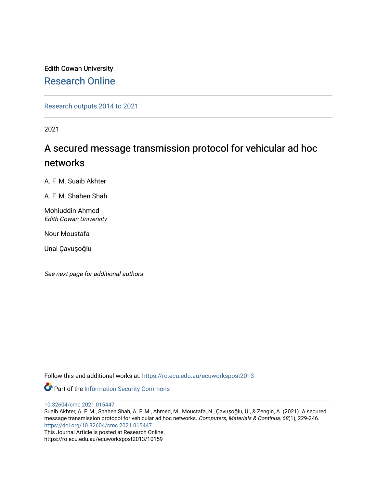# Edith Cowan University [Research Online](https://ro.ecu.edu.au/)

[Research outputs 2014 to 2021](https://ro.ecu.edu.au/ecuworkspost2013) 

2021

# A secured message transmission protocol for vehicular ad hoc networks

A. F. M. Suaib Akhter

A. F. M. Shahen Shah

Mohiuddin Ahmed Edith Cowan University

Nour Moustafa

Unal Çavuşoğlu

See next page for additional authors

Follow this and additional works at: [https://ro.ecu.edu.au/ecuworkspost2013](https://ro.ecu.edu.au/ecuworkspost2013?utm_source=ro.ecu.edu.au%2Fecuworkspost2013%2F10159&utm_medium=PDF&utm_campaign=PDFCoverPages) 

Part of the [Information Security Commons](http://network.bepress.com/hgg/discipline/1247?utm_source=ro.ecu.edu.au%2Fecuworkspost2013%2F10159&utm_medium=PDF&utm_campaign=PDFCoverPages) 

[10.32604/cmc.2021.015447](http://dx.doi.org/10.32604/cmc.2021.015447) 

Suaib Akhter, A. F. M., Shahen Shah, A. F. M., Ahmed, M., Moustafa, N., Çavuşoğlu, U., & Zengin, A. (2021). A secured message transmission protocol for vehicular ad hoc networks. Computers, Materials & Continua, 68(1), 229-246. <https://doi.org/10.32604/cmc.2021.015447>

This Journal Article is posted at Research Online. https://ro.ecu.edu.au/ecuworkspost2013/10159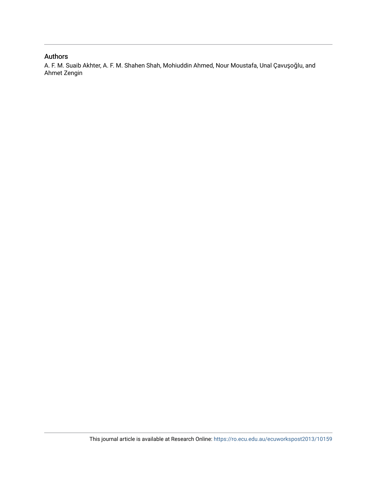### Authors

A. F. M. Suaib Akhter, A. F. M. Shahen Shah, Mohiuddin Ahmed, Nour Moustafa, Unal Çavuşoğlu, and Ahmet Zengin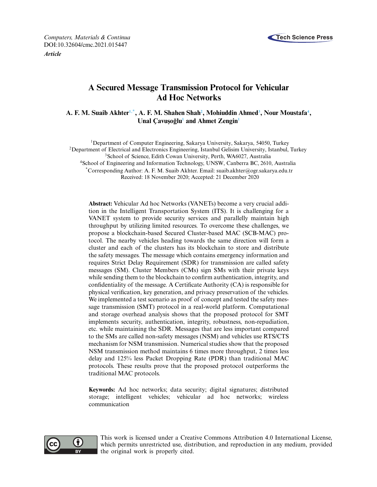

*Computers, Materials & Continua* **Tech Science Press** DOI[:10.32604/cmc.2021.015447](http://dx.doi.org/10.32604/cmc.2021.015447) *Article*

## **A Secured Message Transmission Protocol for Vehicular Ad Hoc Networks**

 $\mathbf{A}$ . **F. M. Suaib Akhter<sup>1,\*</sup>, A. F. M. Shahen Shah<sup>2</sup>, Mohiuddin Ahmed<sup>3</sup>, Nour Moustafa<sup>4</sup>,** Unal Cavușoğlu<sup>[1](#page-2-0)</sup> and Ahmet Zengin<sup>1</sup>

<span id="page-2-2"></span>1Department of Computer Engineering, Sakarya University, Sakarya, 54050, Turkey 2Department of Electrical and Electronics Engineering, Istanbul Gelisim University, Istanbul, Turkey <sup>3</sup>School of Science, Edith Cowan University, Perth, WA6027, Australia

<span id="page-2-4"></span><span id="page-2-0"></span>4School of Engineering and Information Technology, UNSW, Canberra BC, 2610, Australia

<span id="page-2-3"></span><span id="page-2-1"></span>\*Corresponding Author: A. F. M. Suaib Akhter. Email: suaib.akhter@ogr.sakarya.edu.tr

Received: 18 November 2020; Accepted: 21 December 2020

**Abstract:** Vehicular Ad hoc Networks (VANETs) become a very crucial addition in the Intelligent Transportation System (ITS). It is challenging for a VANET system to provide security services and parallelly maintain high throughput by utilizing limited resources. To overcome these challenges, we propose a blockchain-based Secured Cluster-based MAC (SCB-MAC) protocol. The nearby vehicles heading towards the same direction will form a cluster and each of the clusters has its blockchain to store and distribute the safety messages. The message which contains emergency information and requires Strict Delay Requirement (SDR) for transmission are called safety messages (SM). Cluster Members (CMs) sign SMs with their private keys while sending them to the blockchain to confirm authentication, integrity, and confidentiality of the message. A Certificate Authority (CA) is responsible for physical verification, key generation, and privacy preservation of the vehicles. We implemented a test scenario as proof of concept and tested the safety message transmission (SMT) protocol in a real-world platform. Computational and storage overhead analysis shows that the proposed protocol for SMT implements security, authentication, integrity, robustness, non-repudiation, etc. while maintaining the SDR. Messages that are less important compared to the SMs are called non-safety messages (NSM) and vehicles use RTS/CTS mechanism for NSM transmission. Numerical studies show that the proposed NSM transmission method maintains 6 times more throughput, 2 times less delay and 125% less Packet Dropping Rate (PDR) than traditional MAC protocols. These results prove that the proposed protocol outperforms the traditional MAC protocols.

**Keywords:** Ad hoc networks; data security; digital signatures; distributed storage; intelligent vehicles; vehicular ad hoc networks; wireless communication



This work is licensed under a Creative Commons Attribution 4.0 International License, which permits unrestricted use, distribution, and reproduction in any medium, provided the original work is properly cited.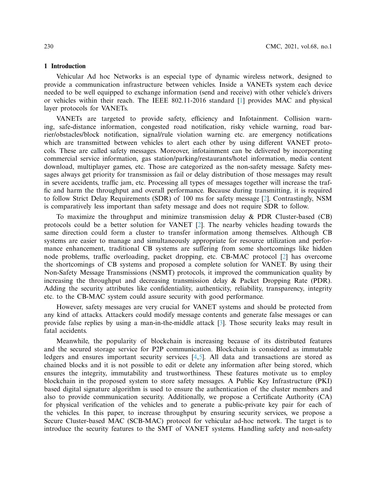#### **1 Introduction**

Vehicular Ad hoc Networks is an especial type of dynamic wireless network, designed to provide a communication infrastructure between vehicles. Inside a VANETs system each device needed to be well equipped to exchange information (send and receive) with other vehicle's drivers or vehicles within their reach. The IEEE 802.11-2016 standard [\[1\]](#page-17-0) provides MAC and physical layer protocols for VANETs.

VANETs are targeted to provide safety, efficiency and Infotainment. Collision warning, safe-distance information, congested road notification, risky vehicle warning, road barrier/obstacles/block notification, signal/rule violation warning etc. are emergency notifications which are transmitted between vehicles to alert each other by using different VANET protocols. These are called safety messages. Moreover, infotainment can be delivered by incorporating commercial service information, gas station/parking/restaurants/hotel information, media content download, multiplayer games, etc. Those are categorized as the non-safety message. Safety messages always get priority for transmission as fail or delay distribution of those messages may result in severe accidents, traffic jam, etc. Processing all types of messages together will increase the traffic and harm the throughput and overall performance. Because during transmitting, it is required to follow Strict Delay Requirements (SDR) of 100 ms for safety message [\[2\]](#page-17-1). Contrastingly, NSM is comparatively less important than safety message and does not require SDR to follow.

To maximize the throughput and minimize transmission delay  $\&$  PDR Cluster-based (CB) protocols could be a better solution for VANET [\[2\]](#page-17-1). The nearby vehicles heading towards the same direction could form a cluster to transfer information among themselves. Although CB systems are easier to manage and simultaneously appropriate for resource utilization and performance enhancement, traditional CB systems are suffering from some shortcomings like hidden node problems, traffic overloading, packet dropping, etc. CB-MAC protocol [\[2](#page-17-1)] has overcome the shortcomings of CB systems and proposed a complete solution for VANET. By using their Non-Safety Message Transmissions (NSMT) protocols, it improved the communication quality by increasing the throughput and decreasing transmission delay & Packet Dropping Rate (PDR). Adding the security attributes like confidentiality, authenticity, reliability, transparency, integrity etc. to the CB-MAC system could assure security with good performance.

However, safety messages are very crucial for VANET systems and should be protected from any kind of attacks. Attackers could modify message contents and generate false messages or can provide false replies by using a man-in-the-middle attack [\[3\]](#page-17-2). Those security leaks may result in fatal accidents.

Meanwhile, the popularity of blockchain is increasing because of its distributed features and the secured storage service for P2P communication. Blockchain is considered as immutable ledgers and ensures important security services [\[4](#page-17-3)[,5\]](#page-17-4). All data and transactions are stored as chained blocks and it is not possible to edit or delete any information after being stored, which ensures the integrity, immutability and trustworthiness. These features motivate us to employ blockchain in the proposed system to store safety messages. A Public Key Infrastructure (PKI) based digital signature algorithm is used to ensure the authentication of the cluster members and also to provide communication security. Additionally, we propose a Certificate Authority (CA) for physical verification of the vehicles and to generate a public-private key pair for each of the vehicles. In this paper, to increase throughput by ensuring security services, we propose a Secure Cluster-based MAC (SCB-MAC) protocol for vehicular ad-hoc network. The target is to introduce the security features to the SMT of VANET systems. Handling safety and non-safety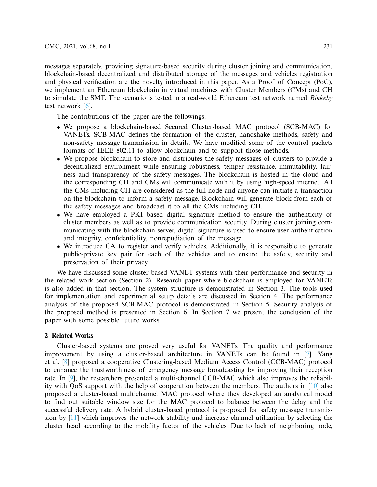messages separately, providing signature-based security during cluster joining and communication, blockchain-based decentralized and distributed storage of the messages and vehicles registration and physical verification are the novelty introduced in this paper. As a Proof of Concept (PoC), we implement an Ethereum blockchain in virtual machines with Cluster Members (CMs) and CH to simulate the SMT. The scenario is tested in a real-world Ethereum test network named *Rinkeby* test network [\[6](#page-17-5)].

The contributions of the paper are the followings:

- We propose a blockchain-based Secured Cluster-based MAC protocol (SCB-MAC) for VANETs. SCB-MAC defines the formation of the cluster, handshake methods, safety and non-safety message transmission in details. We have modified some of the control packets formats of IEEE 802.11 to allow blockchain and to support those methods.
- We propose blockchain to store and distributes the safety messages of clusters to provide a decentralized environment while ensuring robustness, temper resistance, immutability, fairness and transparency of the safety messages. The blockchain is hosted in the cloud and the corresponding CH and CMs will communicate with it by using high-speed internet. All the CMs including CH are considered as the full node and anyone can initiate a transaction on the blockchain to inform a safety message. Blockchain will generate block from each of the safety messages and broadcast it to all the CMs including CH.
- We have employed a PKI based digital signature method to ensure the authenticity of cluster members as well as to provide communication security. During cluster joining communicating with the blockchain server, digital signature is used to ensure user authentication and integrity, confidentiality, nonrepudiation of the message.
- We introduce CA to register and verify vehicles. Additionally, it is responsible to generate public-private key pair for each of the vehicles and to ensure the safety, security and preservation of their privacy.

We have discussed some cluster based VANET systems with their performance and security in the related work section (Section 2). Research paper where blockchain is employed for VANETs is also added in that section. The system structure is demonstrated in Section 3. The tools used for implementation and experimental setup details are discussed in Section 4. The performance analysis of the proposed SCB-MAC protocol is demonstrated in Section 5. Security analysis of the proposed method is presented in Section 6. In Section 7 we present the conclusion of the paper with some possible future works.

### **2 Related Works**

Cluster-based systems are proved very useful for VANETs. The quality and performance improvement by using a cluster-based architecture in VANETs can be found in [\[7\]](#page-17-6). Yang et al. [\[8\]](#page-17-7) proposed a cooperative Clustering-based Medium Access Control (CCB-MAC) protocol to enhance the trustworthiness of emergency message broadcasting by improving their reception rate. In [\[9](#page-17-8)], the researchers presented a multi-channel CCB-MAC which also improves the reliability with QoS support with the help of cooperation between the members. The authors in [\[10](#page-17-9)] also proposed a cluster-based multichannel MAC protocol where they developed an analytical model to find out suitable window size for the MAC protocol to balance between the delay and the successful delivery rate. A hybrid cluster-based protocol is proposed for safety message transmission by [\[11](#page-17-10)] which improves the network stability and increase channel utilization by selecting the cluster head according to the mobility factor of the vehicles. Due to lack of neighboring node,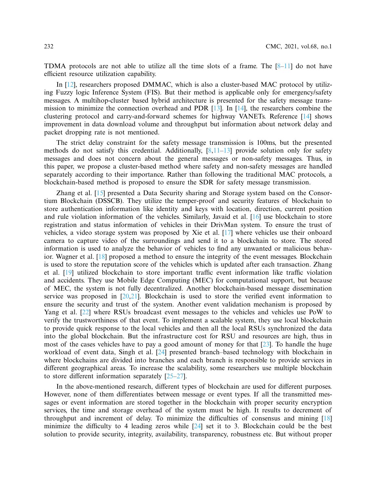TDMA protocols are not able to utilize all the time slots of a frame. The  $[8-11]$  $[8-11]$  do not have efficient resource utilization capability.

In [\[12\]](#page-17-11), researchers proposed DMMAC, which is also a cluster-based MAC protocol by utilizing Fuzzy logic Inference System (FIS). But their method is applicable only for emergency/safety messages. A multihop-cluster based hybrid architecture is presented for the safety message transmission to minimize the connection overhead and PDR [\[13\]](#page-17-12). In [\[14](#page-17-13)], the researchers combine the clustering protocol and carry-and-forward schemes for highway VANETs. Reference [\[14\]](#page-17-13) shows improvement in data download volume and throughput but information about network delay and packet dropping rate is not mentioned.

The strict delay constraint for the safety message transmission is 100ms, but the presented methods do not satisfy this credential. Additionally,  $[8,11-13]$  $[8,11-13]$  $[8,11-13]$  provide solution only for safety messages and does not concern about the general messages or non-safety messages. Thus, in this paper, we propose a cluster-based method where safety and non-safety messages are handled separately according to their importance. Rather than following the traditional MAC protocols, a blockchain-based method is proposed to ensure the SDR for safety message transmission.

Zhang et al. [\[15\]](#page-17-14) presented a Data Security sharing and Storage system based on the Consortium Blockchain (DSSCB). They utilize the temper-proof and security features of blockchain to store authentication information like identity and keys with location, direction, current position and rule violation information of the vehicles. Similarly, Javaid et al. [\[16\]](#page-17-15) use blockchain to store registration and status information of vehicles in their DrivMan system. To ensure the trust of vehicles, a video storage system was proposed by Xie et al. [\[17](#page-17-16)] where vehicles use their onboard camera to capture video of the surroundings and send it to a blockchain to store. The stored information is used to analyze the behavior of vehicles to find any unwanted or malicious behavior. Wagner et al. [\[18\]](#page-18-0) proposed a method to ensure the integrity of the event messages. Blockchain is used to store the reputation score of the vehicles which is updated after each transaction. Zhang et al. [\[19\]](#page-18-1) utilized blockchain to store important traffic event information like traffic violation and accidents. They use Mobile Edge Computing (MEC) for computational support, but because of MEC, the system is not fully decentralized. Another blockchain-based message dissemination service was proposed in  $[20,21]$  $[20,21]$ . Blockchain is used to store the verified event information to ensure the security and trust of the system. Another event validation mechanism is proposed by Yang et al. [\[22](#page-18-4)] where RSUs broadcast event messages to the vehicles and vehicles use PoW to verify the trustworthiness of that event. To implement a scalable system, they use local blockchain to provide quick response to the local vehicles and then all the local RSUs synchronized the data into the global blockchain. But the infrastructure cost for RSU and resources are high, thus in most of the cases vehicles have to pay a good amount of money for that  $[23]$ . To handle the huge workload of event data, Singh et al. [\[24\]](#page-18-6) presented branch–based technology with blockchain in where blockchains are divided into branches and each branch is responsible to provide services in different geographical areas. To increase the scalability, some researchers use multiple blockchain to store different information separately [\[25](#page-18-7)[–27\]](#page-18-8).

In the above-mentioned research, different types of blockchain are used for different purposes. However, none of them differentiates between message or event types. If all the transmitted messages or event information are stored together in the blockchain with proper security encryption services, the time and storage overhead of the system must be high. It results to decrement of throughput and increment of delay. To minimize the difficulties of consensus and mining [\[18\]](#page-18-0) minimize the difficulty to 4 leading zeros while [\[24](#page-18-6)] set it to 3. Blockchain could be the best solution to provide security, integrity, availability, transparency, robustness etc. But without proper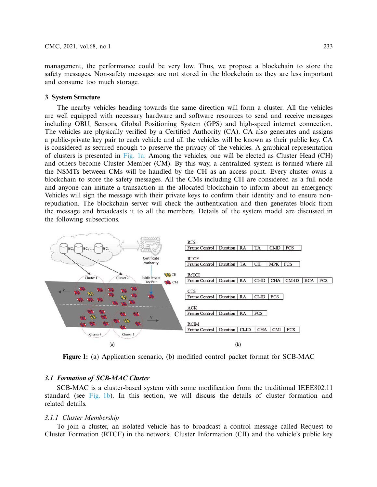management, the performance could be very low. Thus, we propose a blockchain to store the safety messages. Non-safety messages are not stored in the blockchain as they are less important and consume too much storage.

### **3 System Structure**

The nearby vehicles heading towards the same direction will form a cluster. All the vehicles are well equipped with necessary hardware and software resources to send and receive messages including OBU, Sensors, Global Positioning System (GPS) and high-speed internet connection. The vehicles are physically verified by a Certified Authority (CA). CA also generates and assigns a public-private key pair to each vehicle and all the vehicles will be known as their public key. CA is considered as secured enough to preserve the privacy of the vehicles. A graphical representation of clusters is presented in [Fig. 1a.](#page-6-0) Among the vehicles, one will be elected as Cluster Head (CH) and others become Cluster Member (CM). By this way, a centralized system is formed where all the NSMTs between CMs will be handled by the CH as an access point. Every cluster owns a blockchain to store the safety messages. All the CMs including CH are considered as a full node and anyone can initiate a transaction in the allocated blockchain to inform about an emergency. Vehicles will sign the message with their private keys to confirm their identity and to ensure nonrepudiation. The blockchain server will check the authentication and then generates block from the message and broadcasts it to all the members. Details of the system model are discussed in the following subsections.



<span id="page-6-0"></span>**Figure 1:** (a) Application scenario, (b) modified control packet format for SCB-MAC

### *3.1 Formation of SCB-MAC Cluster*

SCB-MAC is a cluster-based system with some modification from the traditional IEEE802.11 standard (see [Fig. 1b\)](#page-6-0). In this section, we will discuss the details of cluster formation and related details.

### *3.1.1 Cluster Membership*

To join a cluster, an isolated vehicle has to broadcast a control message called Request to Cluster Formation (RTCF) in the network. Cluster Information (ClI) and the vehicle's public key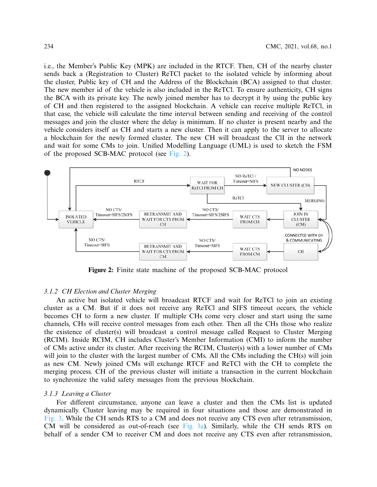i.e., the Member's Public Key (MPK) are included in the RTCF. Then, CH of the nearby cluster sends back a (Registration to Cluster) ReTCl packet to the isolated vehicle by informing about the cluster, Public key of CH and the Address of the Blockchain (BCA) assigned to that cluster. The new member id of the vehicle is also included in the ReTCl. To ensure authenticity, CH signs the BCA with its private key. The newly joined member has to decrypt it by using the public key of CH and then registered to the assigned blockchain. A vehicle can receive multiple ReTCl, in that case, the vehicle will calculate the time interval between sending and receiving of the control messages and join the cluster where the delay is minimum. If no cluster is present nearby and the vehicle considers itself as CH and starts a new cluster. Then it can apply to the server to allocate a blockchain for the newly formed cluster. The new CH will broadcast the ClI in the network and wait for some CMs to join. Unified Modelling Language (UML) is used to sketch the FSM of the proposed SCB-MAC protocol (see [Fig. 2\)](#page-7-0).



<span id="page-7-0"></span>**Figure 2:** Finite state machine of the proposed SCB-MAC protocol

### *3.1.2 CH Election and Cluster Merging*

An active but isolated vehicle will broadcast RTCF and wait for ReTCl to join an existing cluster as a CM. But if it does not receive any ReTCl and SIFS timeout occurs, the vehicle becomes CH to form a new cluster. If multiple CHs come very closer and start using the same channels, CHs will receive control messages from each other. Then all the CHs those who realize the existence of cluster(s) will broadcast a control message called Request to Cluster Merging (RCIM). Inside RCIM, CH includes Cluster's Member Information (CMI) to inform the number of CMs active under its cluster. After receiving the RCIM, Cluster(s) with a lower number of CMs will join to the cluster with the largest number of CMs. All the CMs including the CH(s) will join as new CM. Newly joined CMs will exchange RTCF and ReTCl with the CH to complete the merging process. CH of the previous cluster will initiate a transaction in the current blockchain to synchronize the valid safety messages from the previous blockchain.

### *3.1.3 Leaving a Cluster*

For different circumstance, anyone can leave a cluster and then the CMs list is updated dynamically. Cluster leaving may be required in four situations and those are demonstrated in [Fig. 3.](#page-8-0) While the CH sends RTS to a CM and does not receive any CTS even after retransmission, CM will be considered as out-of-reach (see [Fig. 3a\)](#page-8-0). Similarly, while the CH sends RTS on behalf of a sender CM to receiver CM and does not receive any CTS even after retransmission,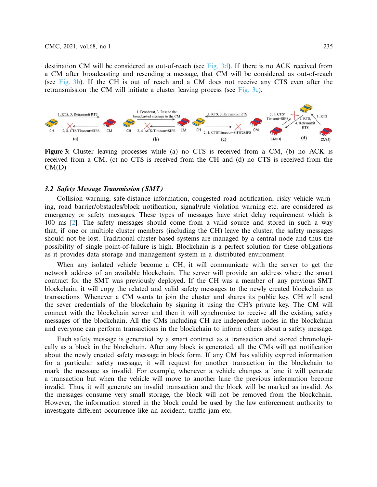destination CM will be considered as out-of-reach (see [Fig. 3d\)](#page-8-0). If there is no ACK received from a CM after broadcasting and resending a message, that CM will be considered as out-of-reach (see [Fig. 3b\)](#page-8-0). If the CH is out of reach and a CM does not receive any CTS even after the retransmission the CM will initiate a cluster leaving process (see [Fig. 3c\)](#page-8-0).



<span id="page-8-0"></span>**Figure 3:** Cluster leaving processes while (a) no CTS is received from a CM, (b) no ACK is received from a CM, (c) no CTS is received from the CH and (d) no CTS is received from the  $CM(D)$ 

### *3.2 Safety Message Transmission (SMT)*

Collision warning, safe-distance information, congested road notification, risky vehicle warning, road barrier/obstacles/block notification, signal/rule violation warning etc. are considered as emergency or safety messages. These types of messages have strict delay requirement which is 100 ms [\[2\]](#page-17-1). The safety messages should come from a valid source and stored in such a way that, if one or multiple cluster members (including the CH) leave the cluster, the safety messages should not be lost. Traditional cluster-based systems are managed by a central node and thus the possibility of single point-of-failure is high. Blockchain is a perfect solution for these obligations as it provides data storage and management system in a distributed environment.

When any isolated vehicle become a CH, it will communicate with the server to get the network address of an available blockchain. The server will provide an address where the smart contract for the SMT was previously deployed. If the CH was a member of any previous SMT blockchain, it will copy the related and valid safety messages to the newly created blockchain as transactions. Whenever a CM wants to join the cluster and shares its public key, CH will send the sever credentials of the blockchain by signing it using the CH's private key. The CM will connect with the blockchain server and then it will synchronize to receive all the existing safety messages of the blockchain. All the CMs including CH are independent nodes in the blockchain and everyone can perform transactions in the blockchain to inform others about a safety message.

Each safety message is generated by a smart contract as a transaction and stored chronologically as a block in the blockchain. After any block is generated, all the CMs will get notification about the newly created safety message in block form. If any CM has validity expired information for a particular safety message, it will request for another transaction in the blockchain to mark the message as invalid. For example, whenever a vehicle changes a lane it will generate a transaction but when the vehicle will move to another lane the previous information become invalid. Thus, it will generate an invalid transaction and the block will be marked as invalid. As the messages consume very small storage, the block will not be removed from the blockchain. However, the information stored in the block could be used by the law enforcement authority to investigate different occurrence like an accident, traffic jam etc.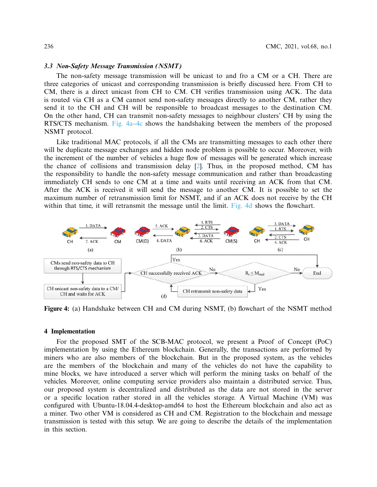#### *3.3 Non-Safety Message Transmission (NSMT)*

The non-safety message transmission will be unicast to and fro a CM or a CH. There are three categories of unicast and corresponding transmission is briefly discussed here. From CH to CM, there is a direct unicast from CH to CM. CH verifies transmission using ACK. The data is routed via CH as a CM cannot send non-safety messages directly to another CM, rather they send it to the CH and CH will be responsible to broadcast messages to the destination CM. On the other hand, CH can transmit non-safety messages to neighbour clusters' CH by using the RTS/CTS mechanism. [Fig. 4a–4c](#page-9-0) shows the handshaking between the members of the proposed NSMT protocol.

Like traditional MAC protocols, if all the CMs are transmitting messages to each other there will be duplicate message exchanges and hidden node problem is possible to occur. Moreover, with the increment of the number of vehicles a huge flow of messages will be generated which increase the chance of collisions and transmission delay [\[2\]](#page-17-1). Thus, in the proposed method, CM has the responsibility to handle the non-safety message communication and rather than broadcasting immediately CH sends to one CM at a time and waits until receiving an ACK from that CM. After the ACK is received it will send the message to another CM. It is possible to set the maximum number of retransmission limit for NSMT, and if an ACK does not receive by the CH within that time, it will retransmit the message until the limit. [Fig. 4d](#page-9-0) shows the flowchart.



<span id="page-9-0"></span>**Figure 4:** (a) Handshake between CH and CM during NSMT, (b) flowchart of the NSMT method

### **4 Implementation**

For the proposed SMT of the SCB-MAC protocol, we present a Proof of Concept (PoC) implementation by using the Ethereum blockchain. Generally, the transactions are performed by miners who are also members of the blockchain. But in the proposed system, as the vehicles are the members of the blockchain and many of the vehicles do not have the capability to mine blocks, we have introduced a server which will perform the mining tasks on behalf of the vehicles. Moreover, online computing service providers also maintain a distributed service. Thus, our proposed system is decentralized and distributed as the data are not stored in the server or a specific location rather stored in all the vehicles storage. A Virtual Machine (VM) was configured with Ubuntu-18.04.4-desktop-amd64 to host the Ethereum blockchain and also act as a miner. Two other VM is considered as CH and CM. Registration to the blockchain and message transmission is tested with this setup. We are going to describe the details of the implementation in this section.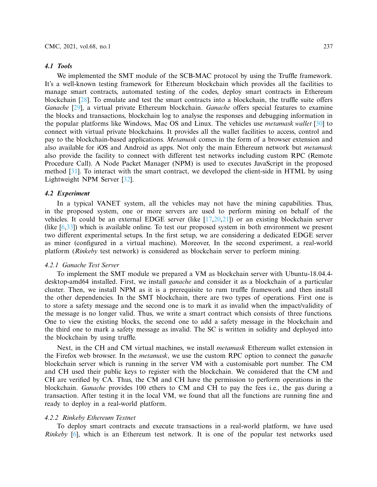### *4.1 Tools*

We implemented the SMT module of the SCB-MAC protocol by using the Truffle framework. It's a well-known testing framework for Ethereum blockchain which provides all the facilities to manage smart contracts, automated testing of the codes, deploy smart contracts in Ethereum blockchain [\[28\]](#page-18-9). To emulate and test the smart contracts into a blockchain, the truffle suite offers *Ganache* [\[29\]](#page-18-10), a virtual private Ethereum blockchain. *Ganache* offers special features to examine the blocks and transactions, blockchain log to analyse the responses and debugging information in the popular platforms like Windows, Mac OS and Linux. The vehicles use *metamask wallet* [\[30\]](#page-18-11) to connect with virtual private blockchains. It provides all the wallet facilities to access, control and pay to the blockchain-based applications. *Metamask* comes in the form of a browser extension and also available for iOS and Android as apps. Not only the main Ethereum network but *metamask* also provide the facility to connect with different test networks including custom RPC (Remote Procedure Call). A Node Packet Manager (NPM) is used to executes JavaScript in the proposed method [\[31](#page-18-12)]. To interact with the smart contract, we developed the client-side in HTML by using Lightweight NPM Server [\[32\]](#page-18-13).

### *4.2 Experiment*

In a typical VANET system, all the vehicles may not have the mining capabilities. Thus, in the proposed system, one or more servers are used to perform mining on behalf of the vehicles. It could be an external EDGE server (like [\[17](#page-17-16)[,20](#page-18-2)[,21](#page-18-3)]) or an existing blockchain server (like [\[6](#page-17-5)[,33\]](#page-18-14)) which is available online. To test our proposed system in both environment we present two different experimental setups. In the first setup, we are considering a dedicated EDGE server as miner (configured in a virtual machine). Moreover, In the second experiment, a real-world platform (*Rinkeby* test network) is considered as blockchain server to perform mining.

### *4.2.1 Ganache Test Server*

To implement the SMT module we prepared a VM as blockchain server with Ubuntu-18.04.4 desktop-amd64 installed. First, we install *ganache* and consider it as a blockchain of a particular cluster. Then, we install NPM as it is a prerequisite to rum truffle framework and then install the other dependencies. In the SMT blockchain, there are two types of operations. First one is to store a safety message and the second one is to mark it as invalid when the impact/validity of the message is no longer valid. Thus, we write a smart contract which consists of three functions. One to view the existing blocks, the second one to add a safety message in the blockchain and the third one to mark a safety message as invalid. The SC is written in solidity and deployed into the blockchain by using truffle.

Next, in the CH and CM virtual machines, we install *metamask* Ethereum wallet extension in the Firefox web browser. In the *metamask*, we use the custom RPC option to connect the *ganache* blockchain server which is running in the server VM with a customisable port number. The CM and CH used their public keys to register with the blockchain. We considered that the CM and CH are verified by CA. Thus, the CM and CH have the permission to perform operations in the blockchain. *Ganache* provides 100 ethers to CM and CH to pay the fees i.e., the gas during a transaction. After testing it in the local VM, we found that all the functions are running fine and ready to deploy in a real-world platform.

### *4.2.2 Rinkeby Ethereum Testnet*

To deploy smart contracts and execute transactions in a real-world platform, we have used *Rinkeby* [\[6](#page-17-5)], which is an Ethereum test network. It is one of the popular test networks used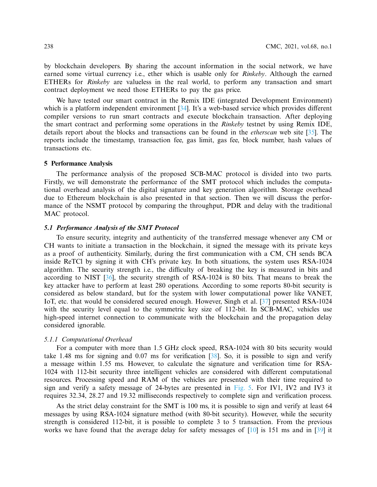by blockchain developers. By sharing the account information in the social network, we have earned some virtual currency i.e., ether which is usable only for *Rinkeby*. Although the earned ETHERs for *Rinkeby* are valueless in the real world, to perform any transaction and smart contract deployment we need those ETHERs to pay the gas price.

We have tested our smart contract in the Remix IDE (integrated Development Environment) which is a platform independent environment [\[34](#page-18-15)]. It's a web-based service which provides different compiler versions to run smart contracts and execute blockchain transaction. After deploying the smart contract and performing some operations in the *Rinkeby* testnet by using Remix IDE, details report about the blocks and transactions can be found in the *etherscan* web site [\[35](#page-18-16)]. The reports include the timestamp, transaction fee, gas limit, gas fee, block number, hash values of transactions etc.

### **5 Performance Analysis**

The performance analysis of the proposed SCB-MAC protocol is divided into two parts. Firstly, we will demonstrate the performance of the SMT protocol which includes the computational overhead analysis of the digital signature and key generation algorithm. Storage overhead due to Ethereum blockchain is also presented in that section. Then we will discuss the performance of the NSMT protocol by comparing the throughput, PDR and delay with the traditional MAC protocol.

### *5.1 Performance Analysis of the SMT Protocol*

To ensure security, integrity and authenticity of the transferred message whenever any CM or CH wants to initiate a transaction in the blockchain, it signed the message with its private keys as a proof of authenticity. Similarly, during the first communication with a CM, CH sends BCA inside ReTCl by signing it with CH's private key. In both situations, the system uses RSA-1024 algorithm. The security strength i.e., the difficulty of breaking the key is measured in bits and according to NIST [\[36](#page-18-17)], the security strength of RSA-1024 is 80 bits. That means to break the key attacker have to perform at least 280 operations. According to some reports 80-bit security is considered as below standard, but for the system with lower computational power like VANET, IoT, etc. that would be considered secured enough. However, Singh et al. [\[37](#page-18-18)] presented RSA-1024 with the security level equal to the symmetric key size of 112-bit. In SCB-MAC, vehicles use high-speed internet connection to communicate with the blockchain and the propagation delay considered ignorable.

### *5.1.1 Computational Overhead*

For a computer with more than 1.5 GHz clock speed, RSA-1024 with 80 bits security would take 1.48 ms for signing and 0.07 ms for verification [\[38](#page-18-19)]. So, it is possible to sign and verify a message within 1.55 ms. However, to calculate the signature and verification time for RSA-1024 with 112-bit security three intelligent vehicles are considered with different computational resources. Processing speed and RAM of the vehicles are presented with their time required to sign and verify a safety message of 24-bytes are presented in [Fig. 5.](#page-12-0) For IV1, IV2 and IV3 it requires 32.34, 28.27 and 19.32 milliseconds respectively to complete sign and verification process.

As the strict delay constraint for the SMT is 100 ms, it is possible to sign and verify at least 64 messages by using RSA-1024 signature method (with 80-bit security). However, while the security strength is considered 112-bit, it is possible to complete 3 to 5 transaction. From the previous works we have found that the average delay for safety messages of [\[10\]](#page-17-9) is 151 ms and in [\[39](#page-18-20)] it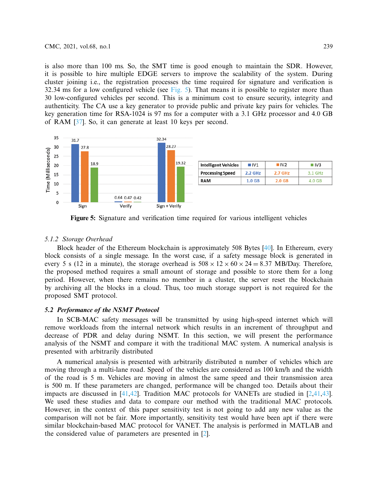is also more than 100 ms. So, the SMT time is good enough to maintain the SDR. However, it is possible to hire multiple EDGE servers to improve the scalability of the system. During cluster joining i.e., the registration processes the time required for signature and verification is 32.34 ms for a low configured vehicle (see  $Fig. 5$ ). That means it is possible to register more than 30 low-configured vehicles per second. This is a minimum cost to ensure security, integrity and authenticity. The CA use a key generator to provide public and private key pairs for vehicles. The key generation time for RSA-1024 is 97 ms for a computer with a 3.1 GHz processor and 4.0 GB of RAM [\[37\]](#page-18-18). So, it can generate at least 10 keys per second.



<span id="page-12-0"></span>**Figure 5:** Signature and verification time required for various intelligent vehicles

### *5.1.2 Storage Overhead*

Block header of the Ethereum blockchain is approximately 508 Bytes [\[40\]](#page-18-21). In Ethereum, every block consists of a single message. In the worst case, if a safety message block is generated in every 5 s (12 in a minute), the storage overhead is  $508 \times 12 \times 60 \times 24 = 8.37$  MB/Day. Therefore, the proposed method requires a small amount of storage and possible to store them for a long period. However, when there remains no member in a cluster, the server reset the blockchain by archiving all the blocks in a cloud. Thus, too much storage support is not required for the proposed SMT protocol.

### *5.2 Performance of the NSMT Protocol*

In SCB-MAC safety messages will be transmitted by using high-speed internet which will remove workloads from the internal network which results in an increment of throughput and decrease of PDR and delay during NSMT. In this section, we will present the performance analysis of the NSMT and compare it with the traditional MAC system. A numerical analysis is presented with arbitrarily distributed

A numerical analysis is presented with arbitrarily distributed n number of vehicles which are moving through a multi-lane road. Speed of the vehicles are considered as 100 km/h and the width of the road is 5 m. Vehicles are moving in almost the same speed and their transmission area is 500 m. If these parameters are changed, performance will be changed too. Details about their impacts are discussed in  $[41,42]$  $[41,42]$ . Tradition MAC protocols for VANETs are studied in  $[2,41,43]$  $[2,41,43]$  $[2,41,43]$ . We used these studies and data to compare our method with the traditional MAC protocols. However, in the context of this paper sensitivity test is not going to add any new value as the comparison will not be fair. More importantly, sensitivity test would have been apt if there were similar blockchain-based MAC protocol for VANET. The analysis is performed in MATLAB and the considered value of parameters are presented in [\[2\]](#page-17-1).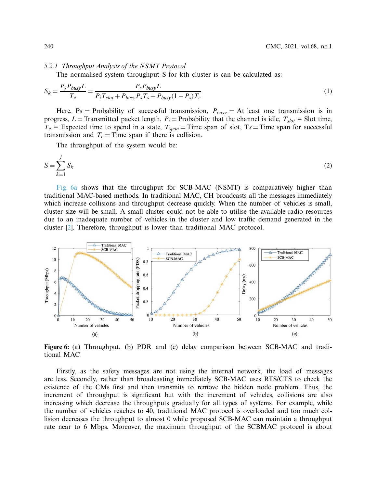#### *5.2.1 Throughput Analysis of the NSMT Protocol*

The normalised system throughput S for kth cluster is can be calculated as:

$$
S_k = \frac{P_s P_{busy} L}{T_e} = \frac{P_s P_{busy} L}{P_i T_{slot} + P_{busy} P_s T_s + P_{busy} (1 - P_s) T_c}
$$
\n
$$
\tag{1}
$$

Here, Ps = Probability of successful transmission,  $P_{busp} = At$  least one transmission is in progress,  $L =$  Transmitted packet length,  $P_i =$  Probability that the channel is idle,  $T_{slot} =$  Slot time,  $T_e$  = Expected time to spend in a state,  $T_{span}$  = Time span of slot, Ts = Time span for successful transmission and  $T_c$  = Time span if there is collision.

The throughput of the system would be:

$$
S = \sum_{k=1}^{j} S_k \tag{2}
$$

[Fig. 6a](#page-13-0) shows that the throughput for SCB-MAC (NSMT) is comparatively higher than traditional MAC-based methods. In traditional MAC, CH broadcasts all the messages immediately which increase collisions and throughput decrease quickly. When the number of vehicles is small, cluster size will be small. A small cluster could not be able to utilise the available radio resources due to an inadequate number of vehicles in the cluster and low traffic demand generated in the cluster [\[2](#page-17-1)]. Therefore, throughput is lower than traditional MAC protocol.



<span id="page-13-0"></span>**Figure 6:** (a) Throughput, (b) PDR and (c) delay comparison between SCB-MAC and traditional MAC

Firstly, as the safety messages are not using the internal network, the load of messages are less. Secondly, rather than broadcasting immediately SCB-MAC uses RTS/CTS to check the existence of the CMs first and then transmits to remove the hidden node problem. Thus, the increment of throughput is significant but with the increment of vehicles, collisions are also increasing which decrease the throughputs gradually for all types of systems. For example, while the number of vehicles reaches to 40, traditional MAC protocol is overloaded and too much collision decreases the throughput to almost 0 while proposed SCB-MAC can maintain a throughput rate near to 6 Mbps. Moreover, the maximum throughput of the SCBMAC protocol is about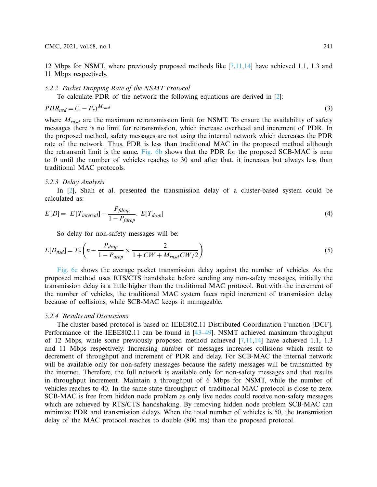12 Mbps for NSMT, where previously proposed methods like [\[7](#page-17-6)[,11](#page-17-10)[,14\]](#page-17-13) have achieved 1.1, 1.3 and 11 Mbps respectively.

### *5.2.2 Packet Dropping Rate of the NSMT Protocol*

To calculate PDR of the network the following equations are derived in [\[2](#page-17-1)]:

$$
PDR_{nsd} = (1 - P_s)^{M_{msd}} \tag{3}
$$

where  $M_{rnsd}$  are the maximum retransmission limit for NSMT. To ensure the availability of safety messages there is no limit for retransmission, which increase overhead and increment of PDR. In the proposed method, safety messages are not using the internal network which decreases the PDR rate of the network. Thus, PDR is less than traditional MAC in the proposed method although the retransmit limit is the same. [Fig. 6b](#page-13-0) shows that the PDR for the proposed SCB-MAC is near to 0 until the number of vehicles reaches to 30 and after that, it increases but always less than traditional MAC protocols.

### *5.2.3 Delay Analysis*

In [\[2\]](#page-17-1), Shah et al. presented the transmission delay of a cluster-based system could be calculated as:

$$
E[D] = E[T_{interval}] - \frac{P_{fdrop}}{1 - P_{fdrop}} \cdot E[T_{drop}] \tag{4}
$$

So delay for non-safety messages will be:

$$
E[D_{nsd}] = T_e \left( n - \frac{P_{drop}}{1 - P_{drop}} \times \frac{2}{1 + CW + M_{rmsd}CW/2} \right)
$$
\n<sup>(5)</sup>

[Fig. 6c](#page-13-0) shows the average packet transmission delay against the number of vehicles. As the proposed method uses RTS/CTS handshake before sending any non-safety messages, initially the transmission delay is a little higher than the traditional MAC protocol. But with the increment of the number of vehicles, the traditional MAC system faces rapid increment of transmission delay because of collisions, while SCB-MAC keeps it manageable.

### *5.2.4 Results and Discussions*

The cluster-based protocol is based on IEEE802.11 Distributed Coordination Function [DCF]. Performance of the IEEE802.11 can be found in [\[43](#page-19-1)[–49\]](#page-19-2). NSMT achieved maximum throughput of 12 Mbps, while some previously proposed method achieved  $[7,11,14]$  $[7,11,14]$  $[7,11,14]$  $[7,11,14]$  have achieved 1.1, 1.3 and 11 Mbps respectively. Increasing number of messages increases collisions which result to decrement of throughput and increment of PDR and delay. For SCB-MAC the internal network will be available only for non-safety messages because the safety messages will be transmitted by the internet. Therefore, the full network is available only for non-safety messages and that results in throughput increment. Maintain a throughput of 6 Mbps for NSMT, while the number of vehicles reaches to 40. In the same state throughput of traditional MAC protocol is close to zero. SCB-MAC is free from hidden node problem as only live nodes could receive non-safety messages which are achieved by RTS/CTS handshaking. By removing hidden node problem SCB-MAC can minimize PDR and transmission delays. When the total number of vehicles is 50, the transmission delay of the MAC protocol reaches to double (800 ms) than the proposed protocol.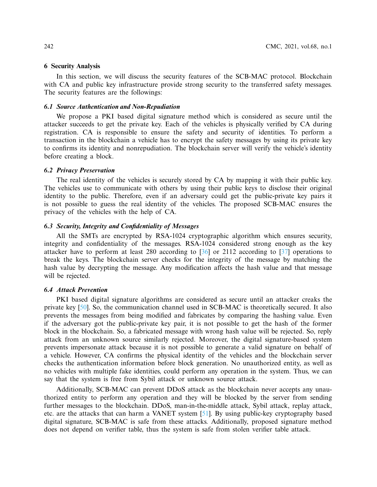### **6 Security Analysis**

In this section, we will discuss the security features of the SCB-MAC protocol. Blockchain with CA and public key infrastructure provide strong security to the transferred safety messages. The security features are the followings:

### *6.1 Source Authentication and Non-Repudiation*

We propose a PKI based digital signature method which is considered as secure until the attacker succeeds to get the private key. Each of the vehicles is physically verified by CA during registration. CA is responsible to ensure the safety and security of identities. To perform a transaction in the blockchain a vehicle has to encrypt the safety messages by using its private key to confirms its identity and nonrepudiation. The blockchain server will verify the vehicle's identity before creating a block.

### *6.2 Privacy Preservation*

The real identity of the vehicles is securely stored by CA by mapping it with their public key. The vehicles use to communicate with others by using their public keys to disclose their original identity to the public. Therefore, even if an adversary could get the public-private key pairs it is not possible to guess the real identity of the vehicles. The proposed SCB-MAC ensures the privacy of the vehicles with the help of CA.

### *6.3 Security, Integrity and Confidentiality of Messages*

All the SMTs are encrypted by RSA-1024 cryptographic algorithm which ensures security, integrity and confidentiality of the messages. RSA-1024 considered strong enough as the key attacker have to perform at least 280 according to [\[36](#page-18-17)] or 2112 according to [\[37\]](#page-18-18) operations to break the keys. The blockchain server checks for the integrity of the message by matching the hash value by decrypting the message. Any modification affects the hash value and that message will be rejected.

### *6.4 Attack Prevention*

PKI based digital signature algorithms are considered as secure until an attacker creaks the private key [\[50\]](#page-19-3). So, the communication channel used in SCB-MAC is theoretically secured. It also prevents the messages from being modified and fabricates by comparing the hashing value. Even if the adversary got the public-private key pair, it is not possible to get the hash of the former block in the blockchain. So, a fabricated message with wrong hash value will be rejected. So, reply attack from an unknown source similarly rejected. Moreover, the digital signature-based system prevents impersonate attack because it is not possible to generate a valid signature on behalf of a vehicle. However, CA confirms the physical identity of the vehicles and the blockchain server checks the authentication information before block generation. No unauthorized entity, as well as no vehicles with multiple fake identities, could perform any operation in the system. Thus, we can say that the system is free from Sybil attack or unknown source attack.

Additionally, SCB-MAC can prevent DDoS attack as the blockchain never accepts any unauthorized entity to perform any operation and they will be blocked by the server from sending further messages to the blockchain. DDoS, man-in-the-middle attack, Sybil attack, replay attack, etc. are the attacks that can harm a VANET system [\[51](#page-19-4)]. By using public-key cryptography based digital signature, SCB-MAC is safe from these attacks. Additionally, proposed signature method does not depend on verifier table, thus the system is safe from stolen verifier table attack.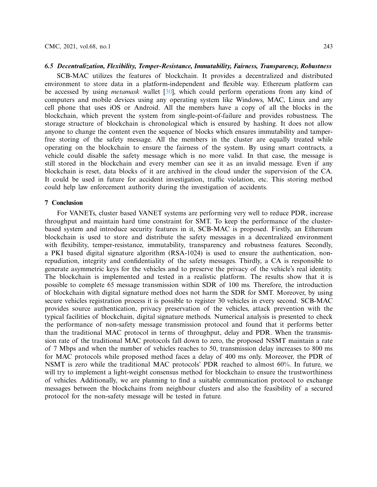### *6.5 Decentralization, Flexibility, Temper-Resistance, Immutability, Fairness, Transparency, Robustness*

SCB-MAC utilizes the features of blockchain. It provides a decentralized and distributed environment to store data in a platform-independent and flexible way. Ethereum platform can be accessed by using *metamask* wallet [\[30\]](#page-18-11), which could perform operations from any kind of computers and mobile devices using any operating system like Windows, MAC, Linux and any cell phone that uses iOS or Android. All the members have a copy of all the blocks in the blockchain, which prevent the system from single-point-of-failure and provides robustness. The storage structure of blockchain is chronological which is ensured by hashing. It does not allow anyone to change the content even the sequence of blocks which ensures immutability and tamperfree storing of the safety message. All the members in the cluster are equally treated while operating on the blockchain to ensure the fairness of the system. By using smart contracts, a vehicle could disable the safety message which is no more valid. In that case, the message is still stored in the blockchain and every member can see it as an invalid message. Even if any blockchain is reset, data blocks of it are archived in the cloud under the supervision of the CA. It could be used in future for accident investigation, traffic violation, etc. This storing method could help law enforcement authority during the investigation of accidents.

### **7 Conclusion**

For VANETs, cluster based VANET systems are performing very well to reduce PDR, increase throughput and maintain hard time constraint for SMT. To keep the performance of the clusterbased system and introduce security features in it, SCB-MAC is proposed. Firstly, an Ethereum blockchain is used to store and distribute the safety messages in a decentralized environment with flexibility, temper-resistance, immutability, transparency and robustness features. Secondly, a PKI based digital signature algorithm (RSA-1024) is used to ensure the authentication, nonrepudiation, integrity and confidentiality of the safety messages. Thirdly, a CA is responsible to generate asymmetric keys for the vehicles and to preserve the privacy of the vehicle's real identity. The blockchain is implemented and tested in a realistic platform. The results show that it is possible to complete 65 message transmission within SDR of 100 ms. Therefore, the introduction of blockchain with digital signature method does not harm the SDR for SMT. Moreover, by using secure vehicles registration process it is possible to register 30 vehicles in every second. SCB-MAC provides source authentication, privacy preservation of the vehicles, attack prevention with the typical facilities of blockchain, digital signature methods. Numerical analysis is presented to check the performance of non-safety message transmission protocol and found that it performs better than the traditional MAC protocol in terms of throughput, delay and PDR. When the transmission rate of the traditional MAC protocols fall down to zero, the proposed NSMT maintain a rate of 7 Mbps and when the number of vehicles reaches to 50, transmission delay increases to 800 ms for MAC protocols while proposed method faces a delay of 400 ms only. Moreover, the PDR of NSMT is zero while the traditional MAC protocols' PDR reached to almost 60%. In future, we will try to implement a light-weight consensus method for blockchain to ensure the trustworthiness of vehicles. Additionally, we are planning to find a suitable communication protocol to exchange messages between the blockchains from neighbour clusters and also the feasibility of a secured protocol for the non-safety message will be tested in future.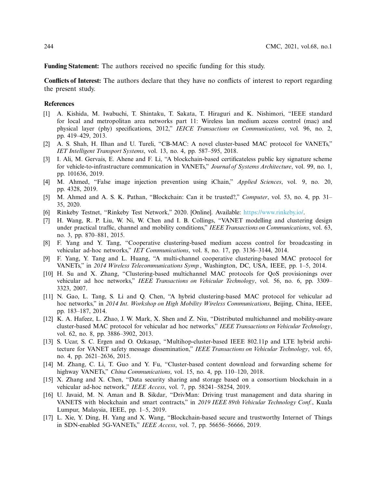**Funding Statement:** The authors received no specific funding for this study.

**Conflicts of Interest:** The authors declare that they have no conflicts of interest to report regarding the present study.

#### **References**

- <span id="page-17-0"></span>[1] A. Kishida, M. Iwabuchi, T. Shintaku, T. Sakata, T. Hiraguri and K. Nishimori, "IEEE standard for local and metropolitan area networks part 11: Wireless lan medium access control (mac) and physical layer (phy) specifications, 2012," *IEICE Transactions on Communications*, vol. 96, no. 2, pp. 419–429, 2013.
- <span id="page-17-1"></span>[2] A. S. Shah, H. Ilhan and U. Tureli, "CB-MAC: A novel cluster-based MAC protocol for VANETs," *IET Intelligent Transport Systems*, vol. 13, no. 4, pp. 587–595, 2018.
- <span id="page-17-2"></span>[3] I. Ali, M. Gervais, E. Ahene and F. Li, "A blockchain-based certificateless public key signature scheme for vehicle-to-infrastructure communication in VANETs," *Journal of Systems Architecture*, vol. 99, no. 1, pp. 101636, 2019.
- <span id="page-17-3"></span>[4] M. Ahmed, "False image injection prevention using iChain," *Applied Sciences*, vol. 9, no. 20, pp. 4328, 2019.
- <span id="page-17-4"></span>[5] M. Ahmed and A. S. K. Pathan, "Blockchain: Can it be trusted?," *Computer*, vol. 53, no. 4, pp. 31– 35, 2020.
- <span id="page-17-5"></span>[6] Rinkeby Testnet, "Rinkeby Test Network," 2020. [Online]. Available: [https://www.rinkeby.io/.](https://www.rinkeby.io/)
- <span id="page-17-6"></span>[7] H. Wang, R. P. Liu, W. Ni, W. Chen and I. B. Collings, "VANET modelling and clustering design under practical traffic, channel and mobility conditions," *IEEE Transactions on Communications*, vol. 63, no. 3, pp. 870–881, 2015.
- <span id="page-17-7"></span>[8] F. Yang and Y. Tang, "Cooperative clustering-based medium access control for broadcasting in vehicular ad-hoc networks," *IET Communications*, vol. 8, no. 17, pp. 3136–3144, 2014.
- <span id="page-17-8"></span>[9] F. Yang, Y. Tang and L. Huang, "A multi-channel cooperative clustering-based MAC protocol for VANETs," in *2014 Wireless Telecommunications Symp.*, Washington, DC, USA, IEEE, pp. 1–5, 2014.
- <span id="page-17-9"></span>[10] H. Su and X. Zhang, "Clustering-based multichannel MAC protocols for QoS provisionings over vehicular ad hoc networks," *IEEE Transactions on Vehicular Technology*, vol. 56, no. 6, pp. 3309– 3323, 2007.
- <span id="page-17-10"></span>[11] N. Gao, L. Tang, S. Li and Q. Chen, "A hybrid clustering-based MAC protocol for vehicular ad hoc networks," in *2014 Int. Workshop on High Mobility Wireless Communications*, Beijing, China, IEEE, pp. 183–187, 2014.
- <span id="page-17-11"></span>[12] K. A. Hafeez, L. Zhao, J. W. Mark, X. Shen and Z. Niu, "Distributed multichannel and mobility-aware cluster-based MAC protocol for vehicular ad hoc networks," *IEEE Transactions on Vehicular Technology*, vol. 62, no. 8, pp. 3886–3902, 2013.
- <span id="page-17-12"></span>[13] S. Ucar, S. C. Ergen and O. Ozkasap, "Multihop-cluster-based IEEE 802.11p and LTE hybrid architecture for VANET safety message dissemination," *IEEE Transactions on Vehicular Technology*, vol. 65, no. 4, pp. 2621–2636, 2015.
- <span id="page-17-13"></span>[14] M. Zhang, C. Li, T. Guo and Y. Fu, "Cluster-based content download and forwarding scheme for highway VANETs," *China Communications*, vol. 15, no. 4, pp. 110–120, 2018.
- <span id="page-17-14"></span>[15] X. Zhang and X. Chen, "Data security sharing and storage based on a consortium blockchain in a vehicular ad-hoc network," *IEEE Access*, vol. 7, pp. 58241–58254, 2019.
- <span id="page-17-15"></span>[16] U. Javaid, M. N. Aman and B. Sikdar, "DrivMan: Driving trust management and data sharing in VANETS with blockchain and smart contracts," in *2019 IEEE 89th Vehicular Technology Conf.*, Kuala Lumpur, Malaysia, IEEE, pp. 1–5, 2019.
- <span id="page-17-16"></span>[17] L. Xie, Y. Ding, H. Yang and X. Wang, "Blockchain-based secure and trustworthy Internet of Things in SDN-enabled 5G-VANETs," *IEEE Access*, vol. 7, pp. 56656–56666, 2019.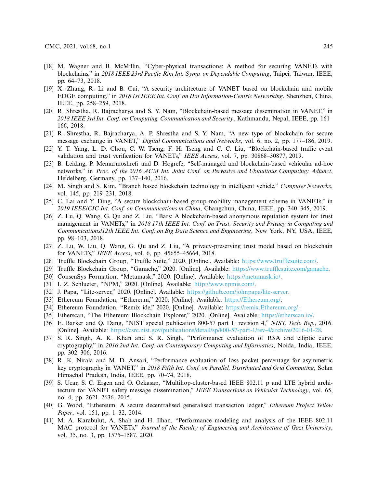- <span id="page-18-0"></span>[18] M. Wagner and B. McMillin, "Cyber-physical transactions: A method for securing VANETs with blockchains," in *2018 IEEE 23rd Pacific Rim Int. Symp. on Dependable Computing*, Taipei, Taiwan, IEEE, pp. 64–73, 2018.
- <span id="page-18-1"></span>[19] X. Zhang, R. Li and B. Cui, "A security architecture of VANET based on blockchain and mobile EDGE computing," in *2018 1st IEEE Int. Conf. on Hot Information-Centric Networking*, Shenzhen, China, IEEE, pp. 258–259, 2018.
- <span id="page-18-2"></span>[20] R. Shrestha, R. Bajracharya and S. Y. Nam, "Blockchain-based message dissemination in VANET," in *2018 IEEE 3rd Int. Conf. on Computing, Communication and Security*, Kathmandu, Nepal, IEEE, pp. 161– 166, 2018.
- <span id="page-18-3"></span>[21] R. Shrestha, R. Bajracharya, A. P. Shrestha and S. Y. Nam, "A new type of blockchain for secure message exchange in VANET," *Digital Communications and Networks*, vol. 6, no. 2, pp. 177–186, 2019.
- <span id="page-18-4"></span>[22] Y. T. Yang, L. D. Chou, C. W. Tseng, F. H. Tseng and C. C. Liu, "Blockchain-based traffic event validation and trust verification for VANETs," *IEEE Access*, vol. 7, pp. 30868–30877, 2019.
- <span id="page-18-5"></span>[23] B. Leiding, P. Memarmoshrefi and D. Hogrefe, "Self-managed and blockchain-based vehicular ad-hoc networks," in *Proc. of the 2016 ACM Int. Joint Conf. on Pervasive and Ubiquitous Computing: Adjunct*, Heidelberg, Germany, pp. 137–140, 2016.
- <span id="page-18-6"></span>[24] M. Singh and S. Kim, "Branch based blockchain technology in intelligent vehicle," *Computer Networks*, vol. 145, pp. 219–231, 2018.
- <span id="page-18-7"></span>[25] C. Lai and Y. Ding, "A secure blockchain-based group mobility management scheme in VANETs," in *2019 IEEE/CIC Int. Conf. on Communications in China*, Changchun, China, IEEE, pp. 340–345, 2019.
- [26] Z. Lu, Q. Wang, G. Qu and Z. Liu, "Bars: A blockchain-based anonymous reputation system for trust management in VANETs," in *2018 17th IEEE Int. Conf. on Trust, Security and Privacy in Computing and Communications/12th IEEE Int. Conf. on Big Data Science and Engineering*, New York, NY, USA, IEEE, pp. 98–103, 2018.
- <span id="page-18-8"></span>[27] Z. Lu, W. Liu, Q. Wang, G. Qu and Z. Liu, "A privacy-preserving trust model based on blockchain for VANETs," *IEEE Access*, vol. 6, pp. 45655–45664, 2018.
- <span id="page-18-9"></span>[28] Truffle Blockchain Group, "Truffle Suite," 2020. [Online]. Available: [https://www.trufflesuite.com/.](https://www.trufflesuite.com/)
- <span id="page-18-10"></span>[29] Truffle Blockchain Group, "Ganache," 2020. [Online]. Available: [https://www.trufflesuite.com/ganache.](https://www.trufflesuite.com/ganache)
- <span id="page-18-11"></span>[30] ConsenSys Formation, "Metamask," 2020. [Online]. Available: [https://metamask.io/.](https://metamask.io/)
- <span id="page-18-12"></span>[31] I. Z. Schlueter, "NPM," 2020. [Online]. Available: [http://www.npmjs.com/.](http://www.npmjs.com/)
- <span id="page-18-13"></span>[32] J. Papa, "Lite-server," 2020. [Online]. Available: [https://github.com/johnpapa/lite-server.](https://github.com/johnpapa/lite-server)
- <span id="page-18-14"></span>[33] Ethereum Foundation, "Ethereum," 2020. [Online]. Available: [https://Ethereum.org/.](https://Ethereum.org/)
- <span id="page-18-15"></span>[34] Ethereum Foundation, "Remix ide," 2020. [Online]. Available: [https://remix.Ethereum.org/.](https://remix.Ethereum.org/)
- <span id="page-18-16"></span>[35] Etherscan, "The Ethereum Blockchain Explorer," 2020. [Online]. Available: [https://etherscan.io/.](https://etherscan.io/)
- <span id="page-18-17"></span>[36] E. Barker and Q. Dang, "NIST special publication 800-57 part 1, revision 4," *NIST, Tech. Rep.*, 2016. [Online]. Available: [https://csrc.nist.gov/publications/detail/sp/800-57-part-1/rev-4/archive/2016-01-28.](https://csrc.nist.gov/publications/detail/sp/800-57-part-1/rev-4/archive/2016-01-28)
- <span id="page-18-18"></span>[37] S. R. Singh, A. K. Khan and S. R. Singh, "Performance evaluation of RSA and elliptic curve cryptography," in *2016 2nd Int. Conf. on Contemporary Computing and Informatics*, Noida, India, IEEE, pp. 302–306, 2016.
- <span id="page-18-19"></span>[38] R. K. Nirala and M. D. Ansari, "Performance evaluation of loss packet percentage for asymmetric key cryptography in VANET," in *2018 Fifth Int. Conf. on Parallel, Distributed and Grid Computing*, Solan Himachal Pradesh, India, IEEE, pp. 70–74, 2018.
- <span id="page-18-20"></span>[39] S. Ucar, S. C. Ergen and O. Ozkasap, "Multihop-cluster-based IEEE 802.11 p and LTE hybrid architecture for VANET safety message dissemination," *IEEE Transactions on Vehicular Technology*, vol. 65, no. 4, pp. 2621–2636, 2015.
- <span id="page-18-21"></span>[40] G. Wood, "Ethereum: A secure decentralised generalised transaction ledger," *Ethereum Project Yellow Paper*, vol. 151, pp. 1–32, 2014.
- <span id="page-18-22"></span>[41] M. A. Karabulut, A. Shah and H. Ilhan, "Performance modeling and analysis of the IEEE 802.11 MAC protocol for VANETs," *Journal of the Faculty of Engineering and Architecture of Gazi University*, vol. 35, no. 3, pp. 1575–1587, 2020.